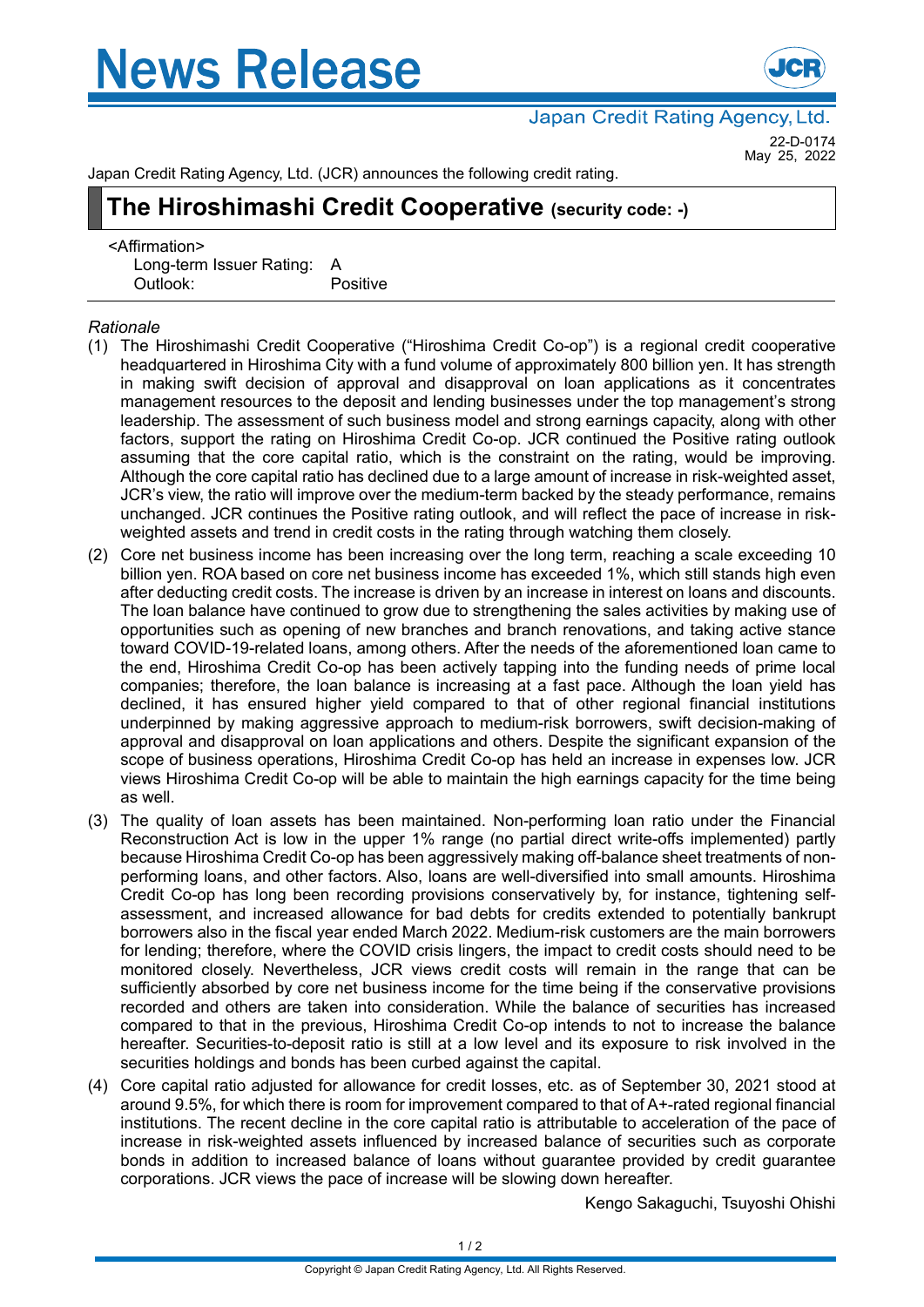# **News Release**



Japan Credit Rating Agency, Ltd.

22-D-0174 May 25, 2022

Japan Credit Rating Agency, Ltd. (JCR) announces the following credit rating.

## **The Hiroshimashi Credit Cooperative (security code: -)**

<Affirmation> Long-term Issuer Rating: A Outlook: Positive

### *Rationale*

- (1) The Hiroshimashi Credit Cooperative ("Hiroshima Credit Co-op") is a regional credit cooperative headquartered in Hiroshima City with a fund volume of approximately 800 billion yen. It has strength in making swift decision of approval and disapproval on loan applications as it concentrates management resources to the deposit and lending businesses under the top management's strong leadership. The assessment of such business model and strong earnings capacity, along with other factors, support the rating on Hiroshima Credit Co-op. JCR continued the Positive rating outlook assuming that the core capital ratio, which is the constraint on the rating, would be improving. Although the core capital ratio has declined due to a large amount of increase in risk-weighted asset, JCR's view, the ratio will improve over the medium-term backed by the steady performance, remains unchanged. JCR continues the Positive rating outlook, and will reflect the pace of increase in riskweighted assets and trend in credit costs in the rating through watching them closely.
- (2) Core net business income has been increasing over the long term, reaching a scale exceeding 10 billion yen. ROA based on core net business income has exceeded 1%, which still stands high even after deducting credit costs. The increase is driven by an increase in interest on loans and discounts. The loan balance have continued to grow due to strengthening the sales activities by making use of opportunities such as opening of new branches and branch renovations, and taking active stance toward COVID-19-related loans, among others. After the needs of the aforementioned loan came to the end, Hiroshima Credit Co-op has been actively tapping into the funding needs of prime local companies; therefore, the loan balance is increasing at a fast pace. Although the loan yield has declined, it has ensured higher yield compared to that of other regional financial institutions underpinned by making aggressive approach to medium-risk borrowers, swift decision-making of approval and disapproval on loan applications and others. Despite the significant expansion of the scope of business operations, Hiroshima Credit Co-op has held an increase in expenses low. JCR views Hiroshima Credit Co-op will be able to maintain the high earnings capacity for the time being as well.
- (3) The quality of loan assets has been maintained. Non-performing loan ratio under the Financial Reconstruction Act is low in the upper 1% range (no partial direct write-offs implemented) partly because Hiroshima Credit Co-op has been aggressively making off-balance sheet treatments of nonperforming loans, and other factors. Also, loans are well-diversified into small amounts. Hiroshima Credit Co-op has long been recording provisions conservatively by, for instance, tightening selfassessment, and increased allowance for bad debts for credits extended to potentially bankrupt borrowers also in the fiscal year ended March 2022. Medium-risk customers are the main borrowers for lending; therefore, where the COVID crisis lingers, the impact to credit costs should need to be monitored closely. Nevertheless, JCR views credit costs will remain in the range that can be sufficiently absorbed by core net business income for the time being if the conservative provisions recorded and others are taken into consideration. While the balance of securities has increased compared to that in the previous, Hiroshima Credit Co-op intends to not to increase the balance hereafter. Securities-to-deposit ratio is still at a low level and its exposure to risk involved in the securities holdings and bonds has been curbed against the capital.
- (4) Core capital ratio adjusted for allowance for credit losses, etc. as of September 30, 2021 stood at around 9.5%, for which there is room for improvement compared to that of A+-rated regional financial institutions. The recent decline in the core capital ratio is attributable to acceleration of the pace of increase in risk-weighted assets influenced by increased balance of securities such as corporate bonds in addition to increased balance of loans without guarantee provided by credit guarantee corporations. JCR views the pace of increase will be slowing down hereafter.

Kengo Sakaguchi, Tsuyoshi Ohishi